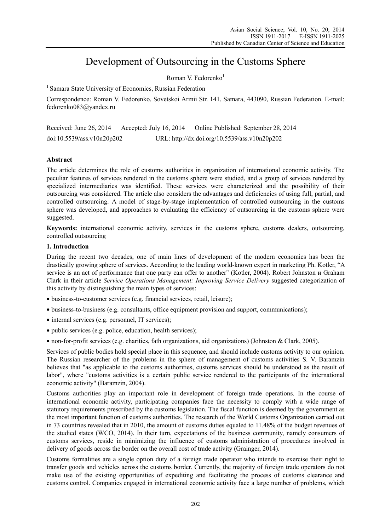# Development of Outsourcing in the Customs Sphere

Roman V. Fedorenko $<sup>1</sup>$ </sup>

<sup>1</sup> Samara State University of Economics, Russian Federation

Correspondence: Roman V. Fedorenko, Sovetskoi Armii Str. 141, Samara, 443090, Russian Federation. E-mail: fedorenko083@yandex.ru

| Received: June 26, 2014    | Accepted: July 16, 2014 | Online Published: September 28, 2014          |
|----------------------------|-------------------------|-----------------------------------------------|
| doi:10.5539/ass.v10n20p202 |                         | URL: http://dx.doi.org/10.5539/ass.v10n20p202 |

# **Abstract**

The article determines the role of customs authorities in organization of international economic activity. The peculiar features of services rendered in the customs sphere were studied, and a group of services rendered by specialized intermediaries was identified. These services were characterized and the possibility of their outsourcing was considered. The article also considers the advantages and deficiencies of using full, partial, and controlled outsourcing. A model of stage-by-stage implementation of controlled outsourcing in the customs sphere was developed, and approaches to evaluating the efficiency of outsourcing in the customs sphere were suggested.

**Keywords:** international economic activity, services in the customs sphere, customs dealers, outsourcing, controlled outsourcing

## **1. Introduction**

During the recent two decades, one of main lines of development of the modern economics has been the drastically growing sphere of services. According to the leading world-known expert in marketing Ph. Kotler, "A service is an act of performance that one party can offer to another" (Kotler, 2004). Robert Johnston и Graham Clark in their article *Service Operations Management: Improving Service Delivery* suggested categorization of this activity by distinguishing the main types of services:

- business-to-customer services (e.g. financial services, retail, leisure);
- business-to-business (e.g. consultants, office equipment provision and support, communications);
- internal services (e.g. personnel, IT services);
- public services (e.g. police, education, health services);

non-for-profit services (e.g. charities, fath organizations, aid organizations) (Johnston & Clark, 2005).

Services of public bodies hold special place in this sequence, and should include customs activity to our opinion. The Russian researcher of the problems in the sphere of management of customs activities S. V. Baramzin believes that "as applicable to the customs authorities, customs services should be understood as the result of labor", where "customs activities is a certain public service rendered to the participants of the international economic activity" (Baramzin, 2004).

Customs authorities play an important role in development of foreign trade operations. In the course of international economic activity, participating companies face the necessity to comply with a wide range of statutory requirements prescribed by the customs legislation. The fiscal function is deemed by the government as the most important function of customs authorities. The research of the World Customs Organization carried out in 73 countries revealed that in 2010, the amount of customs duties equaled to 11.48% of the budget revenues of the studied states (WCO, 2014). In their turn, expectations of the business community, namely consumers of customs services, reside in minimizing the influence of customs administration of procedures involved in delivery of goods across the border on the overall cost of trade activity (Grainger, 2014).

Customs formalities are a single option duty of a foreign trade operator who intends to exercise their right to transfer goods and vehicles across the customs border. Currently, the majority of foreign trade operators do not make use of the existing opportunities of expediting and facilitating the process of customs clearance and customs control. Companies engaged in international economic activity face a large number of problems, which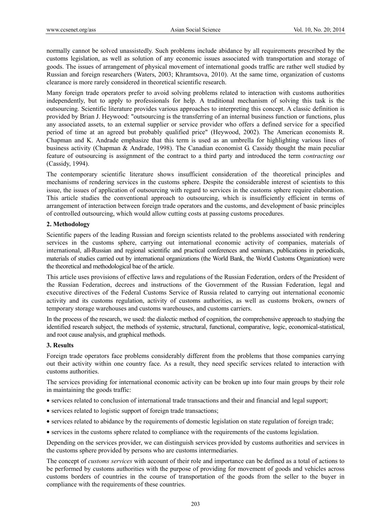normally cannot be solved unassistedly. Such problems include abidance by all requirements prescribed by the customs legislation, as well as solution of any economic issues associated with transportation and storage of goods. The issues of arrangement of physical movement of international goods traffic are rather well studied by Russian and foreign researchers (Waters, 2003; Khramtsova, 2010). At the same time, organization of customs clearance is more rarely considered in theoretical scientific research.

Many foreign trade operators prefer to avoid solving problems related to interaction with customs authorities independently, but to apply to professionals for help. A traditional mechanism of solving this task is the outsourcing. Scientific literature provides various approaches to interpreting this concept. A classic definition is provided by Brian J. Heywood: "outsourcing is the transferring of an internal business function or functions, plus any associated assets, to an external supplier or service provider who offers a defined service for a specified period of time at an agreed but probably qualified price" (Heywood, 2002). The American economists R. Chapman and K. Andrade emphasize that this term is used as an umbrella for highlighting various lines of business activity (Chapman & Andrade, 1998). The Canadian economist G. Cassidy thought the main peculiar feature of outsourcing is assignment of the contract to a third party and introduced the term *contracting out* (Cassidy, 1994).

The contemporary scientific literature shows insufficient consideration of the theoretical principles and mechanisms of rendering services in the customs sphere. Despite the considerable interest of scientists to this issue, the issues of application of outsourcing with regard to services in the customs sphere require elaboration. This article studies the conventional approach to outsourcing, which is insufficiently efficient in terms of arrangement of interaction between foreign trade operators and the customs, and development of basic principles of controlled outsourcing, which would allow cutting costs at passing customs procedures.

## **2. Methodology**

Scientific papers of the leading Russian and foreign scientists related to the problems associated with rendering services in the customs sphere, carrying out international economic activity of companies, materials of international, all-Russian and regional scientific and practical conferences and seminars, publications in periodicals, materials of studies carried out by international organizations (the World Bank, the World Customs Organization) were the theoretical and methodological bae of the article.

This article uses provisions of effective laws and regulations of the Russian Federation, orders of the President of the Russian Federation, decrees and instructions of the Government of the Russian Federation, legal and executive directives of the Federal Customs Service of Russia related to carrying out international economic activity and its customs regulation, activity of customs authorities, as well as customs brokers, owners of temporary storage warehouses and customs warehouses, and customs carriers.

In the process of the research, we used: the dialectic method of cognition, the comprehensive approach to studying the identified research subject, the methods of systemic, structural, functional, comparative, logic, economical-statistical, and root cause analysis, and graphical methods.

#### **3. Results**

Foreign trade operators face problems considerably different from the problems that those companies carrying out their activity within one country face. As a result, they need specific services related to interaction with customs authorities.

The services providing for international economic activity can be broken up into four main groups by their role in maintaining the goods traffic:

- services related to conclusion of international trade transactions and their and financial and legal support;
- services related to logistic support of foreign trade transactions;
- services related to abidance by the requirements of domestic legislation on state regulation of foreign trade;
- services in the customs sphere related to compliance with the requirements of the customs legislation.

Depending on the services provider, we can distinguish services provided by customs authorities and services in the customs sphere provided by persons who are customs intermediaries.

The concept of *customs services* with account of their role and importance can be defined as a total of actions to be performed by customs authorities with the purpose of providing for movement of goods and vehicles across customs borders of countries in the course of transportation of the goods from the seller to the buyer in compliance with the requirements of these countries.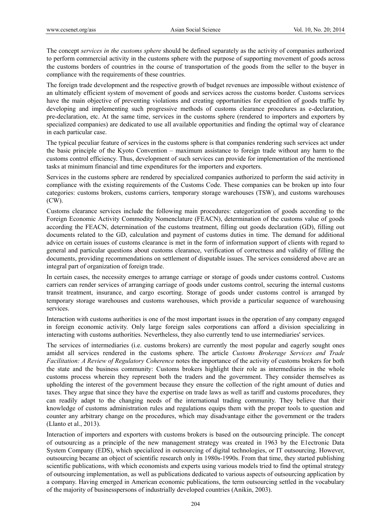The concept *services in the customs sphere* should be defined separately as the activity of companies authorized to perform commercial activity in the customs sphere with the purpose of supporting movement of goods across the customs borders of countries in the course of transportation of the goods from the seller to the buyer in compliance with the requirements of these countries.

The foreign trade development and the respective growth of budget revenues are impossible without existence of an ultimately efficient system of movement of goods and services across the customs border. Customs services have the main objective of preventing violations and creating opportunities for expedition of goods traffic by developing and implementing such progressive methods of customs clearance procedures as e-declaration, pre-declaration, etc. At the same time, services in the customs sphere (rendered to importers and exporters by specialized companies) are dedicated to use all available opportunities and finding the optimal way of clearance in each particular case.

The typical peculiar feature of services in the customs sphere is that companies rendering such services act under the basic principle of the Kyoto Convention – maximum assistance to foreign trade without any harm to the customs control efficiency. Thus, development of such services can provide for implementation of the mentioned tasks at minimum financial and time expenditures for the importers and exporters.

Services in the customs sphere are rendered by specialized companies authorized to perform the said activity in compliance with the existing requirements of the Customs Code. These companies can be broken up into four categories: customs brokers, customs carriers, temporary storage warehouses (TSW), and customs warehouses (CW).

Customs clearance services include the following main procedures: categorization of goods according to the Foreign Economic Activity Commodity Nomenclature (FEACN), determination of the customs value of goods according the FEACN, determination of the customs treatment, filling out goods declaration (GD), filling out documents related to the GD, calculation and payment of customs duties in time. The demand for additional advice on certain issues of customs clearance is met in the form of information support of clients with regard to general and particular questions about customs clearance, verification of correctness and validity of filling the documents, providing recommendations on settlement of disputable issues. The services considered above are an integral part of organization of foreign trade.

In certain cases, the necessity emerges to arrange carriage or storage of goods under customs control. Customs carriers can render services of arranging carriage of goods under customs control, securing the internal customs transit treatment, insurance, and cargo escorting. Storage of goods under customs control is arranged by temporary storage warehouses and customs warehouses, which provide a particular sequence of warehousing services.

Interaction with customs authorities is one of the most important issues in the operation of any company engaged in foreign economic activity. Only large foreign sales corporations can afford a division specializing in interacting with customs authorities. Nevertheless, they also currently tend to use intermediaries' services.

The services of intermediaries (i.e. customs brokers) are currently the most popular and eagerly sought ones amidst all services rendered in the customs sphere. The article *Customs Brokerage Services and Trade Facilitation: A Review of Regulatory Coherence* notes the importance of the activity of customs brokers for both the state and the business community: Customs brokers highlight their role as intermediaries in the whole customs process wherein they represent both the traders and the government. They consider themselves as upholding the interest of the government because they ensure the collection of the right amount of duties and taxes. They argue that since they have the expertise on trade laws as well as tariff and customs procedures, they can readily adapt to the changing needs of the international trading community. They believe that their knowledge of customs administration rules and regulations equips them with the proper tools to question and counter any arbitrary change on the procedures, which may disadvantage either the government or the traders (Llanto et al., 2013).

Interaction of importers and exporters with customs brokers is based on the outsourcing principle. The concept of outsourcing as a principle of the new management strategy was created in 1963 by the Е1есtronic Data System Company (EDS), which specialized in outsourcing of digital technologies, or IT outsourcing. However, outsourcing became an object of scientific research only in 1980s-1990s. From that time, they started publishing scientific publications, with which economists and experts using various models tried to find the optimal strategy of outsourcing implementation, as well as publications dedicated to various aspects of outsourcing application by a company. Having emerged in American economic publications, the term outsourcing settled in the vocabulary of the majority of businesspersons of industrially developed countries (Anikin, 2003).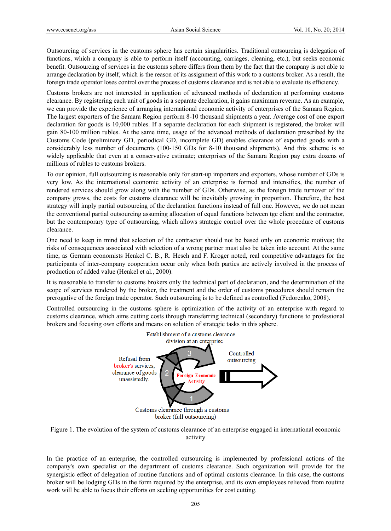Outsourcing of services in the customs sphere has certain singularities. Traditional outsourcing is delegation of functions, which a company is able to perform itself (accounting, carriages, cleaning, etc.), but seeks economic benefit. Outsourcing of services in the customs sphere differs from them by the fact that the company is not able to arrange declaration by itself, which is the reason of its assignment of this work to a customs broker. As a result, the foreign trade operator loses control over the process of customs clearance and is not able to evaluate its efficiency.

Customs brokers are not interested in application of advanced methods of declaration at performing customs clearance. By registering each unit of goods in a separate declaration, it gains maximum revenue. As an example, we can provide the experience of arranging international economic activity of enterprises of the Samara Region. The largest exporters of the Samara Region perform 8-10 thousand shipments a year. Average cost of one export declaration for goods is 10,000 rubles. If a separate declaration for each shipment is registered, the broker will gain 80-100 million rubles. At the same time, usage of the advanced methods of declaration prescribed by the Customs Code (preliminary GD, periodical GD, incomplete GD) enables clearance of exported goods with a considerably less number of documents (100-150 GDs for 8-10 thousand shipments). And this scheme is so widely applicable that even at a conservative estimate; enterprises of the Samara Region pay extra dozens of millions of rubles to customs brokers.

To our opinion, full outsourcing is reasonable only for start-up importers and exporters, whose number of GDs is very low. As the international economic activity of an enterprise is formed and intensifies, the number of rendered services should grow along with the number of GDs. Otherwise, as the foreign trade turnover of the company grows, the costs for customs clearance will be inevitably growing in proportion. Therefore, the best strategy will imply partial outsourcing of the declaration functions instead of full one. However, we do not mean the conventional partial outsourcing assuming allocation of equal functions between tge client and the contractor, but the contemporary type of outsourcing, which allows strategic control over the whole procedure of customs clearance.

One need to keep in mind that selection of the contractor should not be based only on economic motives; the risks of consequences associated with selection of a wrong partner must also be taken into account. At the same time, as German economists Henkel C. B., R. Hesch and F. Kroger noted, real competitive advantages for the participants of inter-company cooperation occur only when both parties are actively involved in the process of production of added value (Henkel et al., 2000).

It is reasonable to transfer to customs brokers only the technical part of declaration, and the determination of the scope of services rendered by the broker, the treatment and the order of customs procedures should remain the prerogative of the foreign trade operator. Such outsourcing is to be defined as controlled (Fedorenko, 2008).

Controlled outsourcing in the customs sphere is optimization of the activity of an enterprise with regard to customs clearance, which aims cutting costs through transferring technical (secondary) functions to professional brokers and focusing own efforts and means on solution of strategic tasks in this sphere.





In the practice of an enterprise, the controlled outsourcing is implemented by professional actions of the company's own specialist or the department of customs clearance. Such organization will provide for the synergistic effect of delegation of routine functions and of optimal customs clearance. In this case, the customs broker will be lodging GDs in the form required by the enterprise, and its own employees relieved from routine work will be able to focus their efforts on seeking opportunities for cost cutting.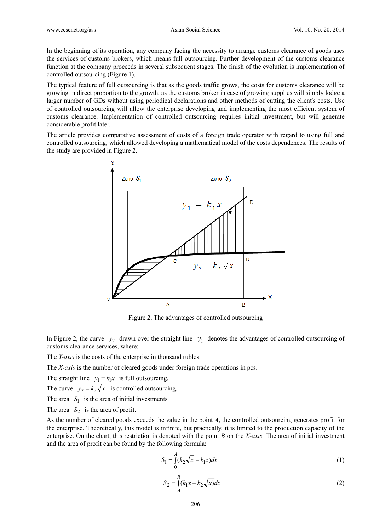In the beginning of its operation, any company facing the necessity to arrange customs clearance of goods uses the services of customs brokers, which means full outsourcing. Further development of the customs clearance function at the company proceeds in several subsequent stages. The finish of the evolution is implementation of controlled outsourcing (Figure 1).

The typical feature of full outsourcing is that as the goods traffic grows, the costs for customs clearance will be growing in direct proportion to the growth, as the customs broker in case of growing supplies will simply lodge a larger number of GDs without using periodical declarations and other methods of cutting the client's costs. Use of controlled outsourcing will allow the enterprise developing and implementing the most efficient system of customs clearance. Implementation of controlled outsourcing requires initial investment, but will generate considerable profit later.

The article provides comparative assessment of costs of a foreign trade operator with regard to using full and controlled outsourcing, which allowed developing a mathematical model of the costs dependences. The results of the study are provided in Figure 2.



Figure 2. The advantages of controlled outsourcing

In Figure 2, the curve  $y_2$  drawn over the straight line  $y_1$  denotes the advantages of controlled outsourcing of customs clearance services, where:

The *Y-axis* is the costs of the enterprise in thousand rubles.

The *Х-axis* is the number of cleared goods under foreign trade operations in pcs.

The straight line  $y_1 = k_1 x$  is full outsourcing.

The curve  $y_2 = k_2 \sqrt{x}$  is controlled outsourcing.

The area  $S_1$  is the area of initial investments

The area  $S_2$  is the area of profit.

As the number of cleared goods exceeds the value in the point *A*, the controlled outsourcing generates profit for the enterprise. Theoretically, this model is infinite, but practically, it is limited to the production capacity of the enterprise. On the chart, this restriction is denoted with the point *В* on the *Х-axis.* The area of initial investment and the area of profit can be found by the following formula:

$$
S_1 = \int_0^A (k_2 \sqrt{x} - k_1 x) dx
$$
 (1)

$$
S_2 = \int_{A}^{B} (k_1 x - k_2 \sqrt{x}) dx
$$
 (2)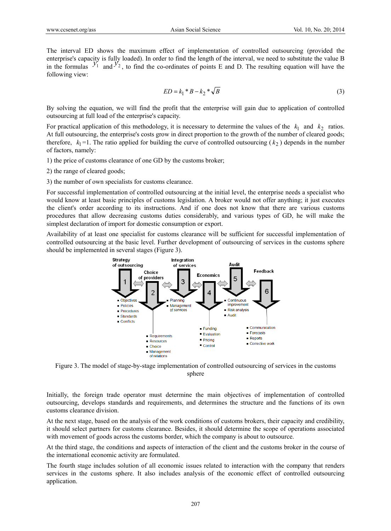The interval ED shows the maximum effect of implementation of controlled outsourcing (provided the enterprise's capacity is fully loaded). In order to find the length of the interval, we need to substitute the value B in the formulas  $y_1$  and  $y_2$ , to find the co-ordinates of points E and D. The resulting equation will have the following view:

$$
ED = k_1 * B - k_2 * \sqrt{B}
$$
 (3)

By solving the equation, we will find the profit that the enterprise will gain due to application of controlled outsourcing at full load of the enterprise's capacity.

For practical application of this methodology, it is necessary to determine the values of the  $k_1$  and  $k_2$  ratios. At full outsourcing, the enterprise's costs grow in direct proportion to the growth of the number of cleared goods; therefore,  $k_1 = 1$ . The ratio applied for building the curve of controlled outsourcing ( $k_2$ ) depends in the number of factors, namely:

1) the price of customs clearance of one GD by the customs broker;

2) the range of cleared goods;

3) the number of own specialists for customs clearance.

For successful implementation of controlled outsourcing at the initial level, the enterprise needs a specialist who would know at least basic principles of customs legislation. A broker would not offer anything; it just executes the client's order according to its instructions. And if one does not know that there are various customs procedures that allow decreasing customs duties considerably, and various types of GD, he will make the simplest declaration of import for domestic consumption or export.

Availability of at least one specialist for customs clearance will be sufficient for successful implementation of controlled outsourcing at the basic level. Further development of outsourcing of services in the customs sphere should be implemented in several stages (Figure 3).



Figure 3. The model of stage-by-stage implementation of controlled outsourcing of services in the customs sphere

Initially, the foreign trade operator must determine the main objectives of implementation of controlled outsourcing, develops standards and requirements, and determines the structure and the functions of its own customs clearance division.

At the next stage, based on the analysis of the work conditions of customs brokers, their capacity and credibility, it should select partners for customs clearance. Besides, it should determine the scope of operations associated with movement of goods across the customs border, which the company is about to outsource.

At the third stage, the conditions and aspects of interaction of the client and the customs broker in the course of the international economic activity are formulated.

The fourth stage includes solution of all economic issues related to interaction with the company that renders services in the customs sphere. It also includes analysis of the economic effect of controlled outsourcing application.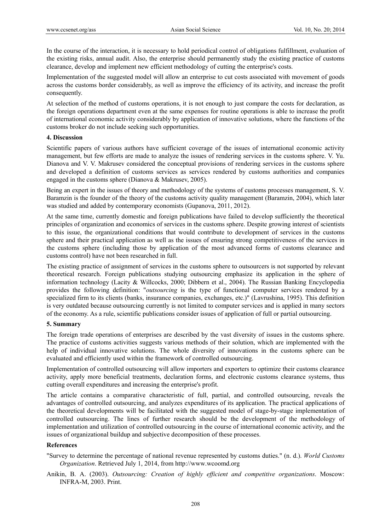In the course of the interaction, it is necessary to hold periodical control of obligations fulfillment, evaluation of the existing risks, annual audit. Also, the enterprise should permanently study the existing practice of customs clearance, develop and implement new efficient methodology of cutting the enterprise's costs.

Implementation of the suggested model will allow an enterprise to cut costs associated with movement of goods across the customs border considerably, as well as improve the efficiency of its activity, and increase the profit consequently.

At selection of the method of customs operations, it is not enough to just compare the costs for declaration, as the foreign operations department even at the same expenses for routine operations is able to increase the profit of international economic activity considerably by application of innovative solutions, where the functions of the customs broker do not include seeking such opportunities.

#### **4. Discussion**

Scientific papers of various authors have sufficient coverage of the issues of international economic activity management, but few efforts are made to analyze the issues of rendering services in the customs sphere. V. Yu. Dianova and V. V. Makrusev considered the conceptual provisions of rendering services in the customs sphere and developed a definition of customs services as services rendered by customs authorities and companies engaged in the customs sphere (Dianova & Makrusev, 2005).

Being an expert in the issues of theory and methodology of the systems of customs processes management, S. V. Baramzin is the founder of the theory of the customs activity quality management (Baramzin, 2004), which later was studied and added by contemporary economists (Gupanova, 2011, 2012).

At the same time, currently domestic and foreign publications have failed to develop sufficiently the theoretical principles of organization and economics of services in the customs sphere. Despite growing interest of scientists to this issue, the organizational conditions that would contribute to development of services in the customs sphere and their practical application as well as the issues of ensuring strong competitiveness of the services in the customs sphere (including those by application of the most advanced forms of customs clearance and customs control) have not been researched in full.

The existing practice of assignment of services in the customs sphere to outsourcers is not supported by relevant theoretical research. Foreign publications studying outsourcing emphasize its application in the sphere of information technology (Lacity & Willcocks, 2000; Dibbern et al., 2004). The Russian Banking Encyclopedia provides the following definition: "*outsourcing* is the type of functional computer services rendered by a specialized firm to its clients (banks, insurance companies, exchanges, etc.)" (Lavrushina, 1995). This definition is very outdated because outsourcing currently is not limited to computer services and is applied in many sectors of the economy. As a rule, scientific publications consider issues of application of full or partial outsourcing.

#### **5. Summary**

The foreign trade operations of enterprises are described by the vast diversity of issues in the customs sphere. The practice of customs activities suggests various methods of their solution, which are implemented with the help of individual innovative solutions. The whole diversity of innovations in the customs sphere can be evaluated and efficiently used within the framework of controlled outsourcing.

Implementation of controlled outsourcing will allow importers and exporters to optimize their customs clearance activity, apply more beneficial treatments, declaration forms, and electronic customs clearance systems, thus cutting overall expenditures and increasing the enterprise's profit.

The article contains a comparative characteristic of full, partial, and controlled outsourcing, reveals the advantages of controlled outsourcing, and analyzes expenditures of its application. The practical applications of the theoretical developments will be facilitated with the suggested model of stage-by-stage implementation of controlled outsourcing. The lines of further research should be the development of the methodology of implementation and utilization of controlled outsourcing in the course of international economic activity, and the issues of organizational buildup and subjective decomposition of these processes.

#### **References**

"Survey to determine the percentage of national revenue represented by customs duties." (n. d.). *World Customs Organization*. Retrieved July 1, 2014, from http://www.wcoomd.org

Anikin, B. A. (2003). *Outsourcing: Creation of highly efficient and competitive organizations*. Moscow: INFRA-M, 2003. Print.